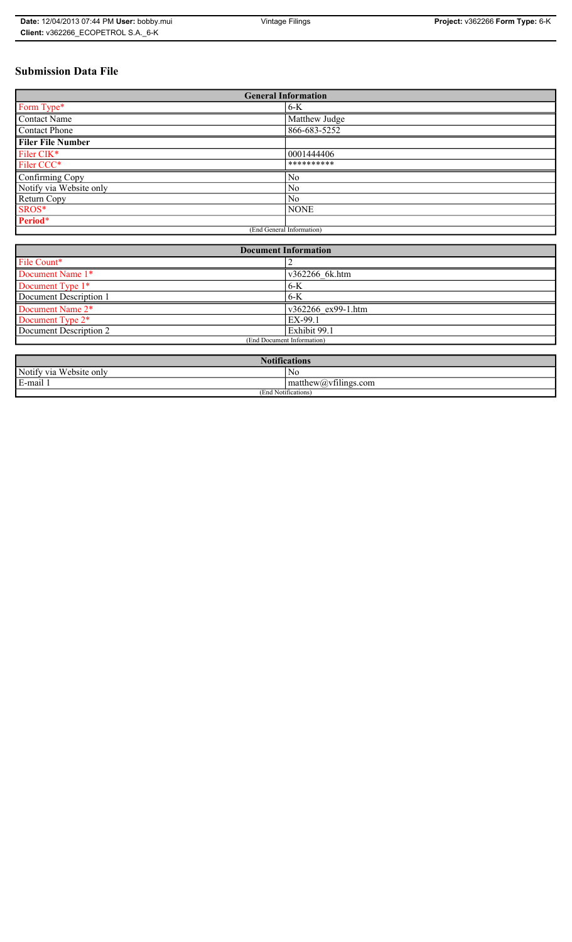# **Submission Data File**

| <b>General Information</b> |                |
|----------------------------|----------------|
| Form Type*                 | $6 - K$        |
| <b>Contact Name</b>        | Matthew Judge  |
| <b>Contact Phone</b>       | 866-683-5252   |
| <b>Filer File Number</b>   |                |
| Filer CIK*                 | 0001444406     |
| Filer CCC*                 | **********     |
| Confirming Copy            | N <sub>0</sub> |
| Notify via Website only    | N <sub>0</sub> |
| Return Copy                | N <sub>0</sub> |
| SROS*                      | <b>NONE</b>    |
| Period*                    |                |
| (End General Information)  |                |

| <b>Document Information</b>  |                    |
|------------------------------|--------------------|
| File Count*                  |                    |
| Document Name 1*             | v362266 6k.htm     |
| Document Type 1*             | $6 - K$            |
| Document Description 1       | $6 - K$            |
| Document Name 2 <sup>*</sup> | v362266 ex99-1.htm |
| Document Type 2*             | EX-99.1            |
| Document Description 2       | Exhibit 99.1       |
| (End Document Information)   |                    |
|                              |                    |

| Natifi<br>tications                                                   |                              |
|-----------------------------------------------------------------------|------------------------------|
| Notify via<br><b>TT7</b> 1<br>$\sqrt{\text{e}^{\text{b}}$ ebsite only | No                           |
| $\cdot$ .<br>$\blacksquare$<br>$F$ -mail                              | $\sim$ $+$<br>$mathem{$ ing} |
| (End Notifications)                                                   |                              |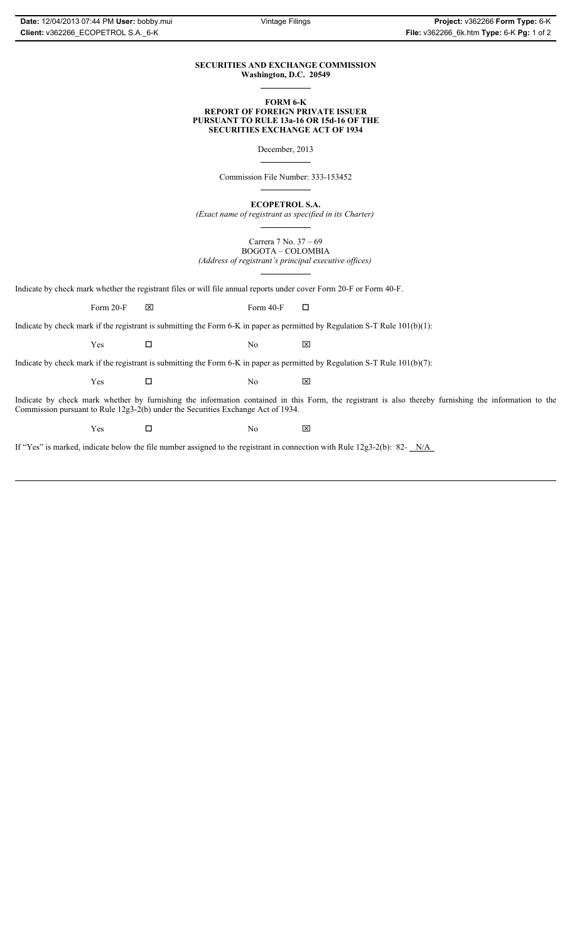#### **SECURITIES AND EXCHANGE COMMISSION Washington, D.C. 20549**

#### **FORM 6-K REPORT OF FOREIGN PRIVATE ISSUER PURSUANT TO RULE 13a-16 OR 15d-16 OF THE SECURITIES EXCHANGE ACT OF 1934**

December, 2013

Commission File Number: 333-153452

**ECOPETROL S.A.**

*(Exact name of registrant as specified in its Charter)*

Carrera 7 No. 37 – 69 BOGOTA – COLOMBIA *(Address of registrant's principal executive offices)*

Indicate by check mark whether the registrant files or will file annual reports under cover Form 20-F or Form 40-F.

Form 20-F  $\boxtimes$  Form 40-F  $\Box$ 

Indicate by check mark if the registrant is submitting the Form 6-K in paper as permitted by Regulation S-T Rule 101(b)(1):

 $Yes$   $\Box$  No  $X$ 

Indicate by check mark if the registrant is submitting the Form 6-K in paper as permitted by Regulation S-T Rule 101(b)(7):

 $Yes$   $\Box$  No  $X$ 

Indicate by check mark whether by furnishing the information contained in this Form, the registrant is also thereby furnishing the information to the Commission pursuant to Rule 12g3-2(b) under the Securities Exchange Act of 1934.

 $Yes$   $\Box$  No  $X$ 

If "Yes" is marked, indicate below the file number assigned to the registrant in connection with Rule 12g3-2(b): 82- N/A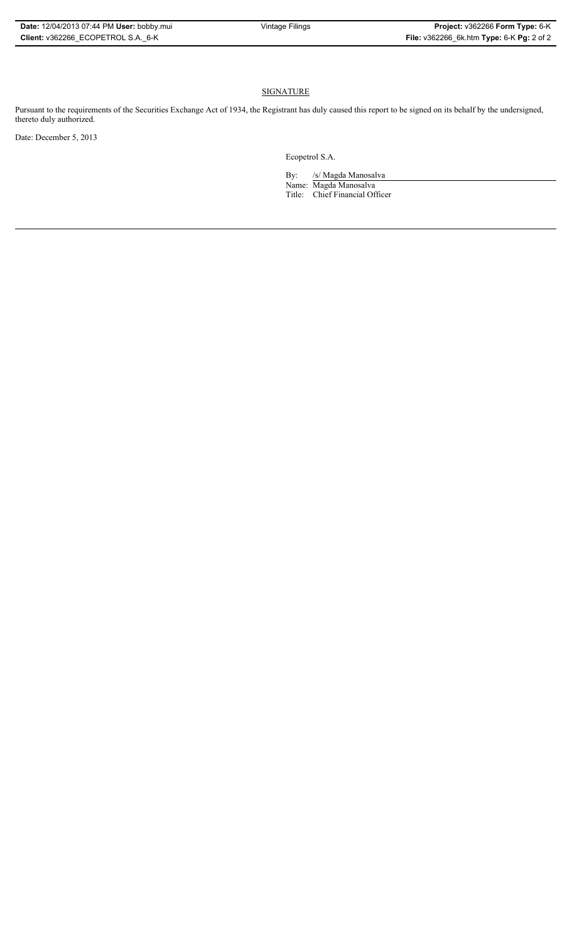### **SIGNATURE**

Pursuant to the requirements of the Securities Exchange Act of 1934, the Registrant has duly caused this report to be signed on its behalf by the undersigned, thereto duly authorized.

Date: December 5, 2013

Ecopetrol S.A.

By: /s/ Magda Manosalva Name: Magda Manosalva Title: Chief Financial Officer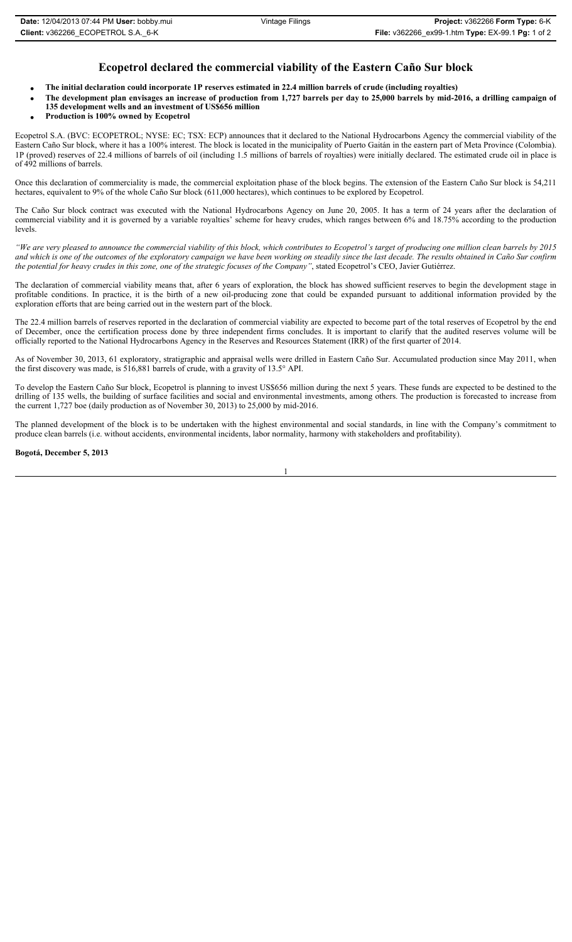## **Ecopetrol declared the commercial viability of the Eastern Caño Sur block**

- x **The initial declaration could incorporate 1P reserves estimated in 22.4 million barrels of crude (including royalties)**
- x **The development plan envisages an increase of production from 1,727 barrels per day to 25,000 barrels by mid-2016, a drilling campaign of 135 development wells and an investment of US\$656 million**
	- x **Production is 100% owned by Ecopetrol**

Ecopetrol S.A. (BVC: ECOPETROL; NYSE: EC; TSX: ECP) announces that it declared to the National Hydrocarbons Agency the commercial viability of the Eastern Caño Sur block, where it has a 100% interest. The block is located in the municipality of Puerto Gaitán in the eastern part of Meta Province (Colombia). 1P (proved) reserves of 22.4 millions of barrels of oil (including 1.5 millions of barrels of royalties) were initially declared. The estimated crude oil in place is of 492 millions of barrels.

Once this declaration of commerciality is made, the commercial exploitation phase of the block begins. The extension of the Eastern Caño Sur block is 54,211 hectares, equivalent to 9% of the whole Caño Sur block (611,000 hectares), which continues to be explored by Ecopetrol.

The Caño Sur block contract was executed with the National Hydrocarbons Agency on June 20, 2005. It has a term of 24 years after the declaration of commercial viability and it is governed by a variable royalties' scheme for heavy crudes, which ranges between 6% and 18.75% according to the production levels.

*"We are very pleased to announce the commercial viability of this block, which contributes to Ecopetrol's target of producing one million clean barrels by 2015 and which is one of the outcomes of the exploratory campaign we have been working on steadily since the last decade. The results obtained in Caño Sur confirm the potential for heavy crudes in this zone, one of the strategic focuses of the Company"*, stated Ecopetrol's CEO, Javier Gutiérrez.

The declaration of commercial viability means that, after 6 years of exploration, the block has showed sufficient reserves to begin the development stage in profitable conditions. In practice, it is the birth of a new oil-producing zone that could be expanded pursuant to additional information provided by the exploration efforts that are being carried out in the western part of the block.

The 22.4 million barrels of reserves reported in the declaration of commercial viability are expected to become part of the total reserves of Ecopetrol by the end of December, once the certification process done by three independent firms concludes. It is important to clarify that the audited reserves volume will be officially reported to the National Hydrocarbons Agency in the Reserves and Resources Statement (IRR) of the first quarter of 2014.

As of November 30, 2013, 61 exploratory, stratigraphic and appraisal wells were drilled in Eastern Caño Sur. Accumulated production since May 2011, when the first discovery was made, is 516,881 barrels of crude, with a gravity of 13.5° API.

To develop the Eastern Caño Sur block, Ecopetrol is planning to invest US\$656 million during the next 5 years. These funds are expected to be destined to the drilling of 135 wells, the building of surface facilities and social and environmental investments, among others. The production is forecasted to increase from the current 1,727 boe (daily production as of November 30, 2013) to 25,000 by mid-2016.

The planned development of the block is to be undertaken with the highest environmental and social standards, in line with the Company's commitment to produce clean barrels (i.e. without accidents, environmental incidents, labor normality, harmony with stakeholders and profitability).

**Bogotá, December 5, 2013**